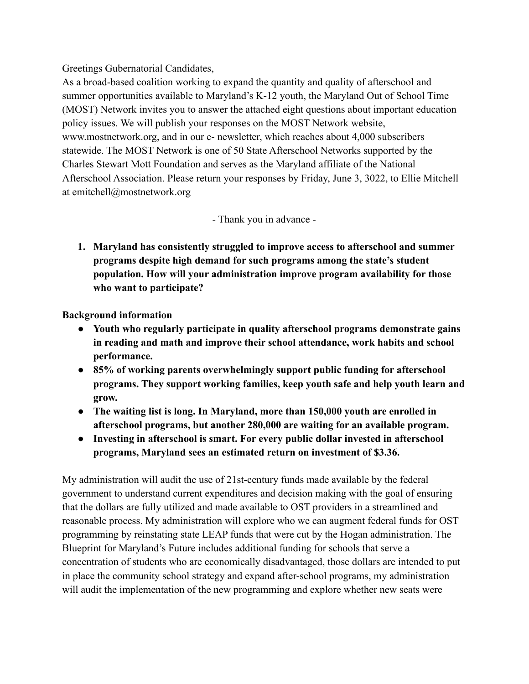Greetings Gubernatorial Candidates,

As a broad-based coalition working to expand the quantity and quality of afterschool and summer opportunities available to Maryland's K-12 youth, the Maryland Out of School Time (MOST) Network invites you to answer the attached eight questions about important education policy issues. We will publish your responses on the MOST Network website, www.mostnetwork.org, and in our e- newsletter, which reaches about 4,000 subscribers statewide. The MOST Network is one of 50 State Afterschool Networks supported by the Charles Stewart Mott Foundation and serves as the Maryland affiliate of the National Afterschool Association. Please return your responses by Friday, June 3, 3022, to Ellie Mitchell at emitchell@mostnetwork.org

- Thank you in advance -

**1. Maryland has consistently struggled to improve access to afterschool and summer programs despite high demand for such programs among the state's student population. How will your administration improve program availability for those who want to participate?**

**Background information**

- **● Youth who regularly participate in quality afterschool programs demonstrate gains in reading and math and improve their school attendance, work habits and school performance.**
- **● 85% of working parents overwhelmingly support public funding for afterschool programs. They support working families, keep youth safe and help youth learn and grow.**
- **● The waiting list is long. In Maryland, more than 150,000 youth are enrolled in afterschool programs, but another 280,000 are waiting for an available program.**
- **● Investing in afterschool is smart. For every public dollar invested in afterschool programs, Maryland sees an estimated return on investment of \$3.36.**

My administration will audit the use of 21st-century funds made available by the federal government to understand current expenditures and decision making with the goal of ensuring that the dollars are fully utilized and made available to OST providers in a streamlined and reasonable process. My administration will explore who we can augment federal funds for OST programming by reinstating state LEAP funds that were cut by the Hogan administration. The Blueprint for Maryland's Future includes additional funding for schools that serve a concentration of students who are economically disadvantaged, those dollars are intended to put in place the community school strategy and expand after-school programs, my administration will audit the implementation of the new programming and explore whether new seats were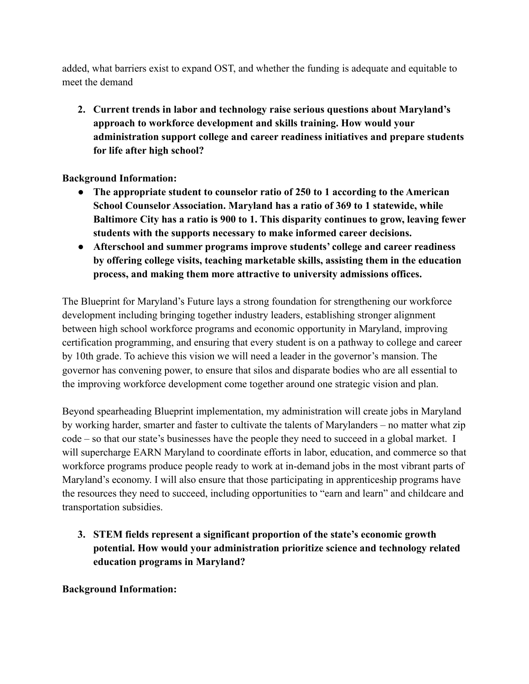added, what barriers exist to expand OST, and whether the funding is adequate and equitable to meet the demand

**2. Current trends in labor and technology raise serious questions about Maryland's approach to workforce development and skills training. How would your administration support college and career readiness initiatives and prepare students for life after high school?**

**Background Information:**

- **● The appropriate student to counselor ratio of 250 to 1 according to the American School Counselor Association. Maryland has a ratio of 369 to 1 statewide, while Baltimore City has a ratio is 900 to 1. This disparity continues to grow, leaving fewer students with the supports necessary to make informed career decisions.**
- **● Afterschool and summer programs improve students' college and career readiness by offering college visits, teaching marketable skills, assisting them in the education process, and making them more attractive to university admissions offices.**

The Blueprint for Maryland's Future lays a strong foundation for strengthening our workforce development including bringing together industry leaders, establishing stronger alignment between high school workforce programs and economic opportunity in Maryland, improving certification programming, and ensuring that every student is on a pathway to college and career by 10th grade. To achieve this vision we will need a leader in the governor's mansion. The governor has convening power, to ensure that silos and disparate bodies who are all essential to the improving workforce development come together around one strategic vision and plan.

Beyond spearheading Blueprint implementation, my administration will create jobs in Maryland by working harder, smarter and faster to cultivate the talents of Marylanders – no matter what zip code – so that our state's businesses have the people they need to succeed in a global market. I will supercharge EARN Maryland to coordinate efforts in labor, education, and commerce so that workforce programs produce people ready to work at in-demand jobs in the most vibrant parts of Maryland's economy. I will also ensure that those participating in apprenticeship programs have the resources they need to succeed, including opportunities to "earn and learn" and childcare and transportation subsidies.

**3. STEM fields represent a significant proportion of the state's economic growth potential. How would your administration prioritize science and technology related education programs in Maryland?**

**Background Information:**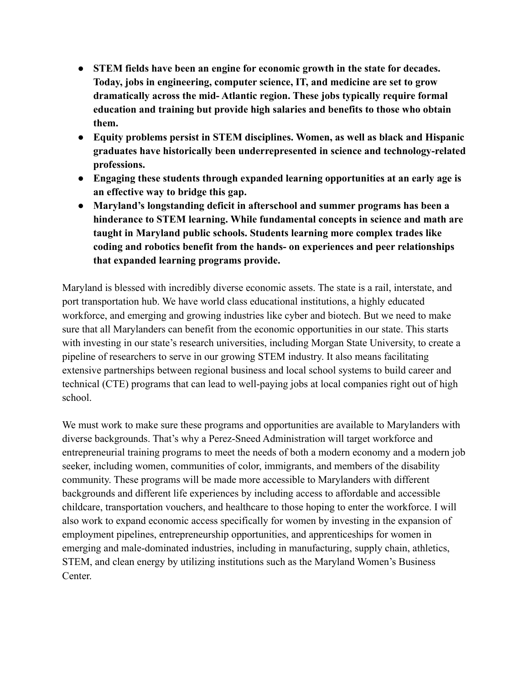- **● STEM fields have been an engine for economic growth in the state for decades. Today, jobs in engineering, computer science, IT, and medicine are set to grow dramatically across the mid- Atlantic region. These jobs typically require formal education and training but provide high salaries and benefits to those who obtain them.**
- **● Equity problems persist in STEM disciplines. Women, as well as black and Hispanic graduates have historically been underrepresented in science and technology-related professions.**
- **● Engaging these students through expanded learning opportunities at an early age is an effective way to bridge this gap.**
- **● Maryland's longstanding deficit in afterschool and summer programs has been a hinderance to STEM learning. While fundamental concepts in science and math are taught in Maryland public schools. Students learning more complex trades like coding and robotics benefit from the hands- on experiences and peer relationships that expanded learning programs provide.**

Maryland is blessed with incredibly diverse economic assets. The state is a rail, interstate, and port transportation hub. We have world class educational institutions, a highly educated workforce, and emerging and growing industries like cyber and biotech. But we need to make sure that all Marylanders can benefit from the economic opportunities in our state. This starts with investing in our state's research universities, including Morgan State University, to create a pipeline of researchers to serve in our growing STEM industry. It also means facilitating extensive partnerships between regional business and local school systems to build career and technical (CTE) programs that can lead to well-paying jobs at local companies right out of high school.

We must work to make sure these programs and opportunities are available to Marylanders with diverse backgrounds. That's why a Perez-Sneed Administration will target workforce and entrepreneurial training programs to meet the needs of both a modern economy and a modern job seeker, including women, communities of color, immigrants, and members of the disability community. These programs will be made more accessible to Marylanders with different backgrounds and different life experiences by including access to affordable and accessible childcare, transportation vouchers, and healthcare to those hoping to enter the workforce. I will also work to expand economic access specifically for women by investing in the expansion of employment pipelines, entrepreneurship opportunities, and apprenticeships for women in emerging and male-dominated industries, including in manufacturing, supply chain, athletics, STEM, and clean energy by utilizing institutions such as the Maryland Women's Business Center.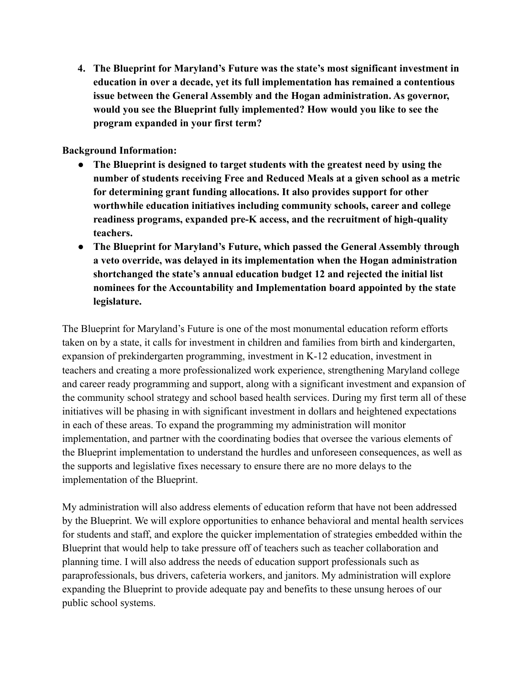**4. The Blueprint for Maryland's Future was the state's most significant investment in education in over a decade, yet its full implementation has remained a contentious issue between the General Assembly and the Hogan administration. As governor, would you see the Blueprint fully implemented? How would you like to see the program expanded in your first term?**

**Background Information:**

- **● The Blueprint is designed to target students with the greatest need by using the number of students receiving Free and Reduced Meals at a given school as a metric for determining grant funding allocations. It also provides support for other worthwhile education initiatives including community schools, career and college readiness programs, expanded pre-K access, and the recruitment of high-quality teachers.**
- **● The Blueprint for Maryland's Future, which passed the General Assembly through a veto override, was delayed in its implementation when the Hogan administration shortchanged the state's annual education budget 12 and rejected the initial list nominees for the Accountability and Implementation board appointed by the state legislature.**

The Blueprint for Maryland's Future is one of the most monumental education reform efforts taken on by a state, it calls for investment in children and families from birth and kindergarten, expansion of prekindergarten programming, investment in K-12 education, investment in teachers and creating a more professionalized work experience, strengthening Maryland college and career ready programming and support, along with a significant investment and expansion of the community school strategy and school based health services. During my first term all of these initiatives will be phasing in with significant investment in dollars and heightened expectations in each of these areas. To expand the programming my administration will monitor implementation, and partner with the coordinating bodies that oversee the various elements of the Blueprint implementation to understand the hurdles and unforeseen consequences, as well as the supports and legislative fixes necessary to ensure there are no more delays to the implementation of the Blueprint.

My administration will also address elements of education reform that have not been addressed by the Blueprint. We will explore opportunities to enhance behavioral and mental health services for students and staff, and explore the quicker implementation of strategies embedded within the Blueprint that would help to take pressure off of teachers such as teacher collaboration and planning time. I will also address the needs of education support professionals such as paraprofessionals, bus drivers, cafeteria workers, and janitors. My administration will explore expanding the Blueprint to provide adequate pay and benefits to these unsung heroes of our public school systems.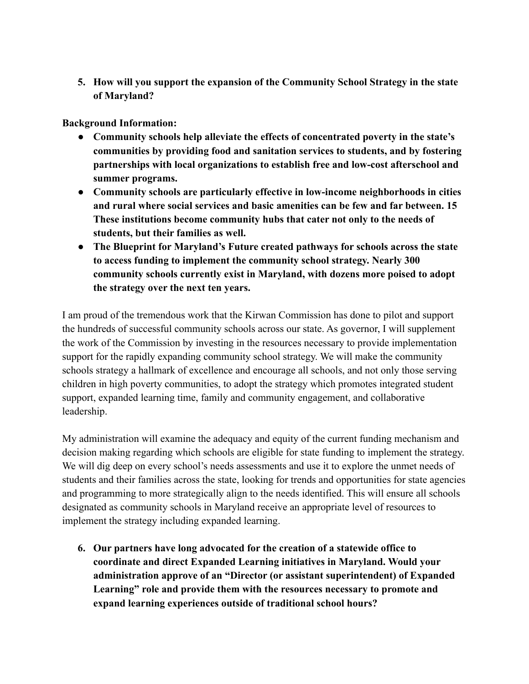**5. How will you support the expansion of the Community School Strategy in the state of Maryland?**

**Background Information:**

- **● Community schools help alleviate the effects of concentrated poverty in the state's communities by providing food and sanitation services to students, and by fostering partnerships with local organizations to establish free and low-cost afterschool and summer programs.**
- **● Community schools are particularly effective in low-income neighborhoods in cities and rural where social services and basic amenities can be few and far between. 15 These institutions become community hubs that cater not only to the needs of students, but their families as well.**
- **● The Blueprint for Maryland's Future created pathways for schools across the state to access funding to implement the community school strategy. Nearly 300 community schools currently exist in Maryland, with dozens more poised to adopt the strategy over the next ten years.**

I am proud of the tremendous work that the Kirwan Commission has done to pilot and support the hundreds of successful community schools across our state. As governor, I will supplement the work of the Commission by investing in the resources necessary to provide implementation support for the rapidly expanding community school strategy. We will make the community schools strategy a hallmark of excellence and encourage all schools, and not only those serving children in high poverty communities, to adopt the strategy which promotes integrated student support, expanded learning time, family and community engagement, and collaborative leadership.

My administration will examine the adequacy and equity of the current funding mechanism and decision making regarding which schools are eligible for state funding to implement the strategy. We will dig deep on every school's needs assessments and use it to explore the unmet needs of students and their families across the state, looking for trends and opportunities for state agencies and programming to more strategically align to the needs identified. This will ensure all schools designated as community schools in Maryland receive an appropriate level of resources to implement the strategy including expanded learning.

**6. Our partners have long advocated for the creation of a statewide office to coordinate and direct Expanded Learning initiatives in Maryland. Would your administration approve of an "Director (or assistant superintendent) of Expanded Learning" role and provide them with the resources necessary to promote and expand learning experiences outside of traditional school hours?**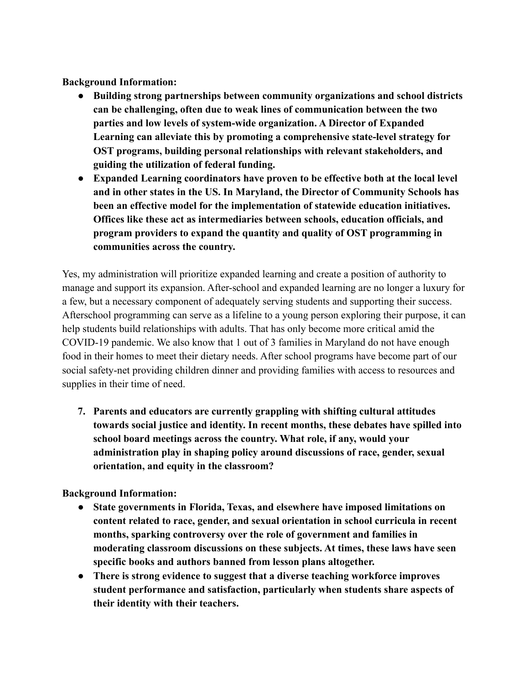**Background Information:**

- **● Building strong partnerships between community organizations and school districts can be challenging, often due to weak lines of communication between the two parties and low levels of system-wide organization. A Director of Expanded Learning can alleviate this by promoting a comprehensive state-level strategy for OST programs, building personal relationships with relevant stakeholders, and guiding the utilization of federal funding.**
- **● Expanded Learning coordinators have proven to be effective both at the local level and in other states in the US. In Maryland, the Director of Community Schools has been an effective model for the implementation of statewide education initiatives. Offices like these act as intermediaries between schools, education officials, and program providers to expand the quantity and quality of OST programming in communities across the country.**

Yes, my administration will prioritize expanded learning and create a position of authority to manage and support its expansion. After-school and expanded learning are no longer a luxury for a few, but a necessary component of adequately serving students and supporting their success. Afterschool programming can serve as a lifeline to a young person exploring their purpose, it can help students build relationships with adults. That has only become more critical amid the COVID-19 pandemic. We also know that 1 out of 3 families in Maryland do not have enough food in their homes to meet their dietary needs. After school programs have become part of our social safety-net providing children dinner and providing families with access to resources and supplies in their time of need.

**7. Parents and educators are currently grappling with shifting cultural attitudes towards social justice and identity. In recent months, these debates have spilled into school board meetings across the country. What role, if any, would your administration play in shaping policy around discussions of race, gender, sexual orientation, and equity in the classroom?**

## **Background Information:**

- **● State governments in Florida, Texas, and elsewhere have imposed limitations on content related to race, gender, and sexual orientation in school curricula in recent months, sparking controversy over the role of government and families in moderating classroom discussions on these subjects. At times, these laws have seen specific books and authors banned from lesson plans altogether.**
- **● There is strong evidence to suggest that a diverse teaching workforce improves student performance and satisfaction, particularly when students share aspects of their identity with their teachers.**